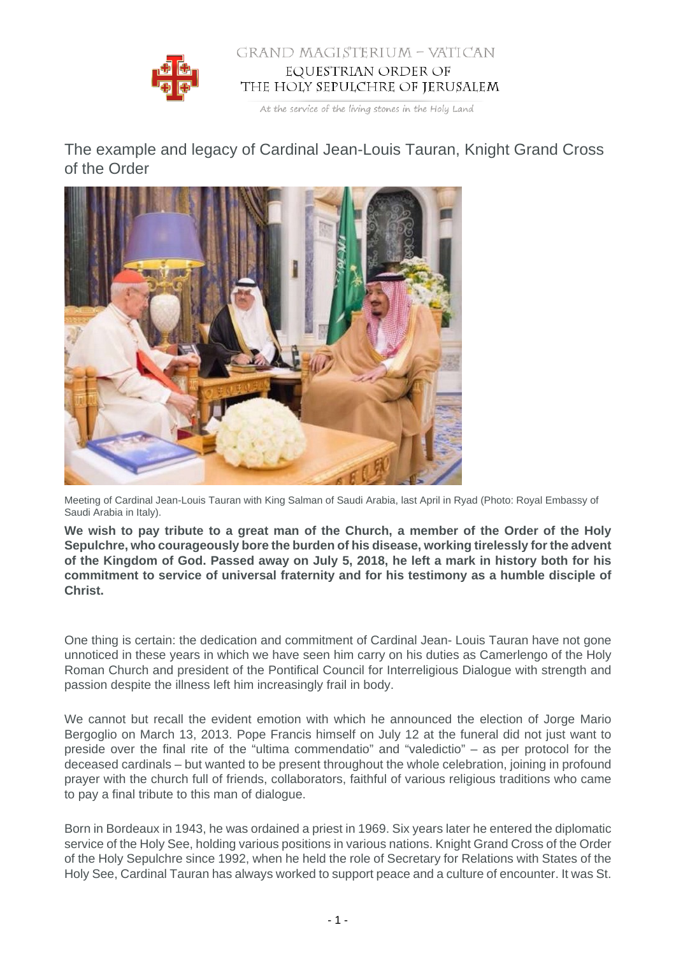

## GRAND MAGISTERIUM - VATICAN EQUESTRIAN ORDER OF THE HOLY SEPULCHRE OF JERUSALEM

At the service of the living stones in the Holy Land

The example and legacy of Cardinal Jean-Louis Tauran, Knight Grand Cross of the Order



Meeting of Cardinal Jean-Louis Tauran with King Salman of Saudi Arabia, last April in Ryad (Photo: Royal Embassy of Saudi Arabia in Italy).

**We wish to pay tribute to a great man of the Church, a member of the Order of the Holy Sepulchre, who courageously bore the burden of his disease, working tirelessly for the advent of the Kingdom of God. Passed away on July 5, 2018, he left a mark in history both for his commitment to service of universal fraternity and for his testimony as a humble disciple of Christ.**

One thing is certain: the dedication and commitment of Cardinal Jean- Louis Tauran have not gone unnoticed in these years in which we have seen him carry on his duties as Camerlengo of the Holy Roman Church and president of the Pontifical Council for Interreligious Dialogue with strength and passion despite the illness left him increasingly frail in body.

We cannot but recall the evident emotion with which he announced the election of Jorge Mario Bergoglio on March 13, 2013. Pope Francis himself on July 12 at the funeral did not just want to preside over the final rite of the "ultima commendatio" and "valedictio" – as per protocol for the deceased cardinals – but wanted to be present throughout the whole celebration, joining in profound prayer with the church full of friends, collaborators, faithful of various religious traditions who came to pay a final tribute to this man of dialogue.

Born in Bordeaux in 1943, he was ordained a priest in 1969. Six years later he entered the diplomatic service of the Holy See, holding various positions in various nations. Knight Grand Cross of the Order of the Holy Sepulchre since 1992, when he held the role of Secretary for Relations with States of the Holy See, Cardinal Tauran has always worked to support peace and a culture of encounter. It was St.